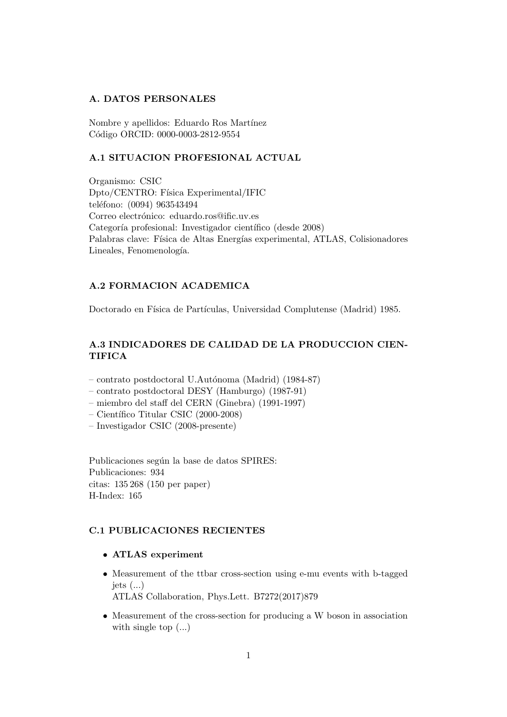## A. DATOS PERSONALES

Nombre y apellidos: Eduardo Ros Martínez Código ORCID: 0000-0003-2812-9554

## A.1 SITUACION PROFESIONAL ACTUAL

Organismo: CSIC Dpto/CENTRO: Física Experimental/IFIC teléfono: (0094) 963543494 Correo electrónico: eduardo.ros@ific.uv.es Categoría profesional: Investigador científico (desde 2008) Palabras clave: Física de Altas Energías experimental, ATLAS, Colisionadores Lineales, Fenomenología.

# A.2 FORMACION ACADEMICA

Doctorado en Física de Partículas, Universidad Complutense (Madrid) 1985.

# A.3 INDICADORES DE CALIDAD DE LA PRODUCCION CIEN-TIFICA

- contrato postdoctoral U.Aut´onoma (Madrid) (1984-87)
- contrato postdoctoral DESY (Hamburgo) (1987-91)
- miembro del staff del CERN (Ginebra) (1991-1997)
- $-$  Científico Titular CSIC (2000-2008)
- Investigador CSIC (2008-presente)

Publicaciones según la base de datos SPIRES: Publicaciones: 934 citas: 135 268 (150 per paper) H-Index: 165

## C.1 PUBLICACIONES RECIENTES

- ATLAS experiment
- Measurement of the ttbar cross-section using e-mu events with b-tagged jets  $(...)$

ATLAS Collaboration, Phys.Lett. B7272(2017)879

• Measurement of the cross-section for producing a W boson in association with single top (...)